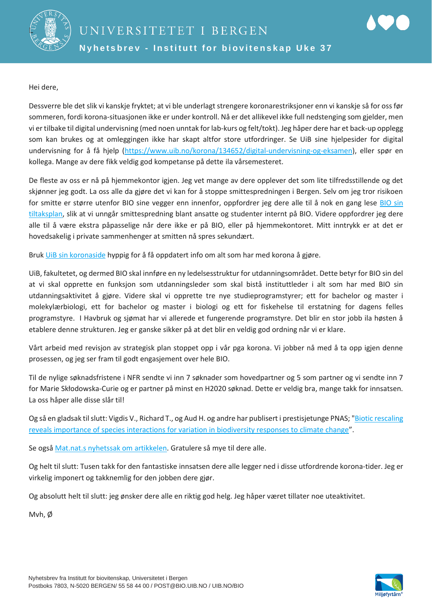

Hei dere,

Dessverre ble det slik vi kanskje fryktet; at vi ble underlagt strengere koronarestriksjoner enn vi kanskje så for oss før sommeren, fordi korona-situasjonen ikke er under kontroll. Nå er det allikevel ikke full nedstenging som gjelder, men vi er tilbake til digital undervisning (med noen unntak for lab-kurs og felt/tokt). Jeg håper dere har et back-up opplegg som kan brukes og at omleggingen ikke har skapt altfor store utfordringer. Se UiB sine hjelpesider for digital undervisning for å få hjelp [\(https://www.uib.no/korona/134652/digital-undervisning-og-eksamen\)](https://www.uib.no/korona/134652/digital-undervisning-og-eksamen), eller spør en kollega. Mange av dere fikk veldig god kompetanse på dette ila vårsemesteret.

De fleste av oss er nå på hjemmekontor igjen. Jeg vet mange av dere opplever det som lite tilfredsstillende og det skjønner jeg godt. La oss alle da gjøre det vi kan for å stoppe smittespredningen i Bergen. Selv om jeg tror risikoen for smitte er større utenfor BIO sine vegger enn innenfor, oppfordrer jeg dere alle til å nok en gang lese [BIO sin](https://mitt.uib.no/courses/11056/files/2686095/download?wrap=1)  [tiltaksplan,](https://mitt.uib.no/courses/11056/files/2686095/download?wrap=1) slik at vi unngår smittespredning blant ansatte og studenter internt på BIO. Videre oppfordrer jeg dere alle til å være ekstra påpasselige når dere ikke er på BIO, eller på hjemmekontoret. Mitt inntrykk er at det er hovedsakelig i private sammenhenger at smitten nå spres sekundært.

Bruk [UiB sin koronaside](https://www.uib.no/korona) hyppig for å få oppdatert info om alt som har med korona å gjøre.

UiB, fakultetet, og dermed BIO skal innføre en ny ledelsesstruktur for utdanningsområdet. Dette betyr for BIO sin del at vi skal opprette en funksjon som utdanningsleder som skal bistå instituttleder i alt som har med BIO sin utdanningsaktivitet å gjøre. Videre skal vi opprette tre nye studieprogramstyrer; ett for bachelor og master i molekylærbiologi, ett for bachelor og master i biologi og ett for fiskehelse til erstatning for dagens felles programstyre. I Havbruk og sjømat har vi allerede et fungerende programstyre. Det blir en stor jobb ila høsten å etablere denne strukturen. Jeg er ganske sikker på at det blir en veldig god ordning når vi er klare.

Vårt arbeid med revisjon av strategisk plan stoppet opp i vår pga korona. Vi jobber nå med å ta opp igjen denne prosessen, og jeg ser fram til godt engasjement over hele BIO.

Til de nylige søknadsfristene i NFR sendte vi inn 7 søknader som hovedpartner og 5 som partner og vi sendte inn 7 for Marie Skłodowska-Curie og er partner på minst en H2020 søknad. Dette er veldig bra, mange takk for innsatsen. La oss håper alle disse slår til!

Og så en gladsak til slutt: Vigdis V., Richard T., og Aud H. og andre har publisert i prestisjetunge PNAS; "Biotic rescaling [reveals importance of species interactions for variation in biodiversity responses to climate change](https://www.pnas.org/content/early/2020/08/26/2003377117)".

Se også [Mat.nat.s nyhetssak om artikkelen.](https://www.uib.no/matnat/137963/klimaendringar-sett-gjennom%C2%A0plantene%C2%A0sine-augo) Gratulere så mye til dere alle.

Og helt til slutt: Tusen takk for den fantastiske innsatsen dere alle legger ned i disse utfordrende korona-tider. Jeg er virkelig imponert og takknemlig for den jobben dere gjør.

Og absolutt helt til slutt: jeg ønsker dere alle en riktig god helg. Jeg håper været tillater noe uteaktivitet.

Mvh, Ø

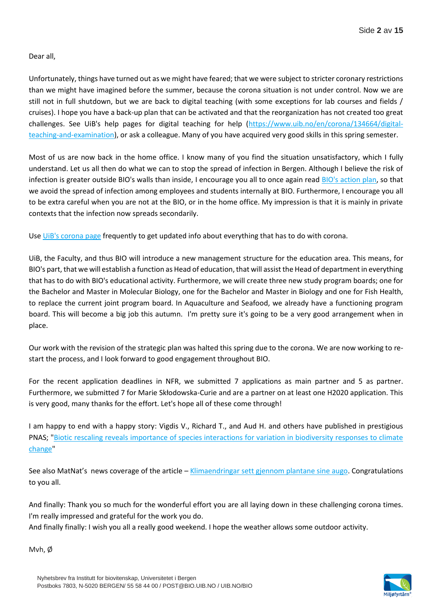Dear all,

Unfortunately, things have turned out as we might have feared; that we were subject to stricter coronary restrictions than we might have imagined before the summer, because the corona situation is not under control. Now we are still not in full shutdown, but we are back to digital teaching (with some exceptions for lab courses and fields / cruises). I hope you have a back-up plan that can be activated and that the reorganization has not created too great challenges. See UiB's help pages for digital teaching for help [\(https://www.uib.no/en/corona/134664/digital](https://www.uib.no/en/corona/134664/digital-teaching-and-examination)[teaching-and-examination\)](https://www.uib.no/en/corona/134664/digital-teaching-and-examination), or ask a colleague. Many of you have acquired very good skills in this spring semester.

Most of us are now back in the home office. I know many of you find the situation unsatisfactory, which I fully understand. Let us all then do what we can to stop the spread of infection in Bergen. Although I believe the risk of infection is greater outside BIO's walls than inside, I encourage you all to once again read [BIO's action plan,](https://mitt.uib.no/courses/11056/files/2686095/download?wrap=1) so that we avoid the spread of infection among employees and students internally at BIO. Furthermore, I encourage you all to be extra careful when you are not at the BIO, or in the home office. My impression is that it is mainly in private contexts that the infection now spreads secondarily.

Use [UiB's corona page](https://www.uib.no/en/corona) frequently to get updated info about everything that has to do with corona.

UiB, the Faculty, and thus BIO will introduce a new management structure for the education area. This means, for BIO's part, that we will establish a function as Head of education, that will assist the Head of department in everything that has to do with BIO's educational activity. Furthermore, we will create three new study program boards; one for the Bachelor and Master in Molecular Biology, one for the Bachelor and Master in Biology and one for Fish Health, to replace the current joint program board. In Aquaculture and Seafood, we already have a functioning program board. This will become a big job this autumn. I'm pretty sure it's going to be a very good arrangement when in place.

Our work with the revision of the strategic plan was halted this spring due to the corona. We are now working to restart the process, and I look forward to good engagement throughout BIO.

For the recent application deadlines in NFR, we submitted 7 applications as main partner and 5 as partner. Furthermore, we submitted 7 for Marie Skłodowska-Curie and are a partner on at least one H2020 application. This is very good, many thanks for the effort. Let's hope all of these come through!

I am happy to end with a happy story: Vigdis V., Richard T., and Aud H. and others have published in prestigious PNAS; ["Biotic rescaling reveals importance of species interactions for variation in biodiversity responses to climate](https://www.pnas.org/content/early/2020/08/26/2003377117)  [change"](https://www.pnas.org/content/early/2020/08/26/2003377117)

See also MatNat's news coverage of the article – [Klimaendringar sett gjennom plantane sine augo.](https://www.uib.no/matnat/137963/klimaendringar-sett-gjennom%C2%A0plantene%C2%A0sine-augo) Congratulations to you all.

And finally: Thank you so much for the wonderful effort you are all laying down in these challenging corona times. I'm really impressed and grateful for the work you do.

And finally finally: I wish you all a really good weekend. I hope the weather allows some outdoor activity.

Mvh, Ø

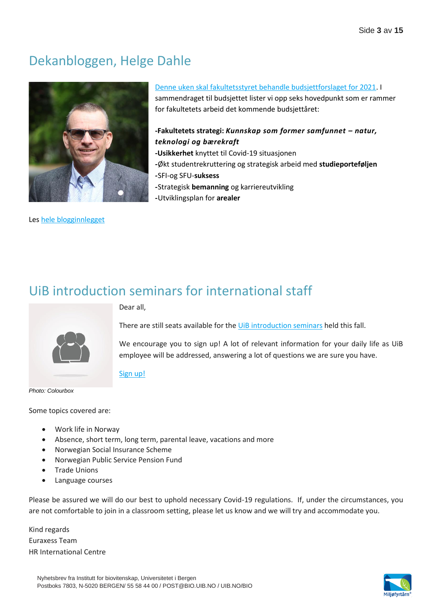## Dekanbloggen, Helge Dahle



Le[s hele blogginnlegget](https://matnat.w.uib.no/arkiv/1183)

# [Denne uken skal fakultetsstyret behandle budsjettforslaget for 2021.](https://www.uib.no/sites/w3.uib.no/files/attachments/38_a_-_budsjettforslag_2021.pdf) I

sammendraget til budsjettet lister vi opp seks hovedpunkt som er rammer for fakultetets arbeid det kommende budsjettåret:

#### **-Fakultetets strategi:** *Kunnskap som former samfunnet – natur, teknologi og bærekraft*

- **-Usikkerhet** knyttet til Covid-19 situasjonen
- *-*Økt studentrekruttering og strategisk arbeid med **studieporteføljen**
- *-*SFI-og SFU-**suksess**
- *-*Strategisk **bemanning** og karriereutvikling
- *-*Utviklingsplan for **arealer**

## UiB introduction seminars for international staff



Dear all,

There are still seats available for the [UiB introduction seminars](https://www.uib.no/en/international/137576/introduction-seminar) held this fall.

We encourage you to sign up! A lot of relevant information for your daily life as UiB employee will be addressed, answering a lot of questions we are sure you have.

#### [Sign up!](https://skjemaker.app.uib.no/view.php?id=8758337)

*Photo: Colourbox*

Some topics covered are:

- Work life in Norway
- Absence, short term, long term, parental leave, vacations and more
- Norwegian Social Insurance Scheme
- Norwegian Public Service Pension Fund
- Trade Unions
- Language courses

Please be assured we will do our best to uphold necessary Covid-19 regulations. If, under the circumstances, you are not comfortable to join in a classroom setting, please let us know and we will try and accommodate you.

Kind regards Euraxess Team HR International Centre

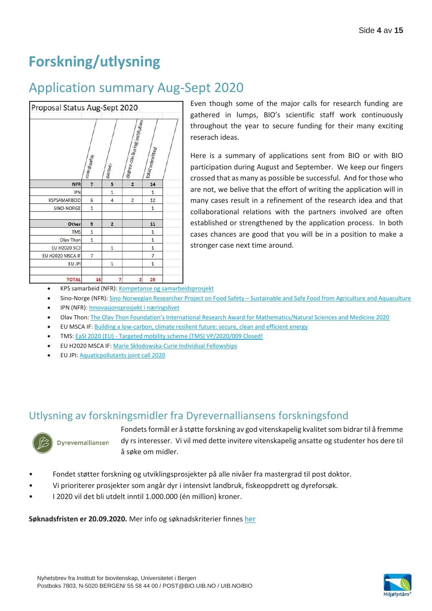# **Forskning/utlysning**

## Application summary Aug-Sept 2020

| Proposal Status Aug-Sept 2020 |                |                         |                                        |                 |  |
|-------------------------------|----------------|-------------------------|----------------------------------------|-----------------|--|
|                               | coordinator    | <b>Partner</b>          | $\left $ degree-conferring institution | total submitted |  |
| <b>NFR</b>                    | $\overline{7}$ | 5                       | $\overline{2}$                         | 14              |  |
| <b>IPN</b>                    |                | $\mathbf 1$             |                                        | $\mathbf{1}$    |  |
| <b>KSPSAMARBEID</b>           | 6              | $\overline{4}$          | 2                                      | 12              |  |
| SINO-NORGE                    | $\mathbf 1$    |                         |                                        | $\mathbf{1}$    |  |
| Other                         | 9              | $\overline{\mathbf{c}}$ |                                        | 11              |  |
| <b>TMS</b>                    | $\mathbf{1}$   |                         |                                        | $1\,$           |  |
| Olav Thon                     | $\mathbf 1$    |                         |                                        | $\mathbf{1}$    |  |
| EU H2020 SC3                  |                | $\mathbf 1$             |                                        | $\mathbf 1$     |  |
| EU H2020 MSCA IF              | $\overline{7}$ |                         |                                        | $\overline{7}$  |  |
| EU JPI                        |                | $\mathbf 1$             |                                        | $\mathbf{1}$    |  |
| <b>TOTAL</b>                  | 16             | 7                       | $\overline{2}$                         | 25              |  |

Even though some of the major calls for research funding are gathered in lumps, BIO's scientific staff work continuously throughout the year to secure funding for their many exciting reserach ideas.

Here is a summary of applications sent from BIO or with BIO participation during August and September. We keep our fingers crossed that as many as possible be successful. And for those who are not, we belive that the effort of writing the application will in many cases result in a refinement of the research idea and that collaborational relations with the partners involved are often established or strengthened by the application process. In both cases chances are good that you will be in a position to make a stronger case next time around.

- KPS samarbeid (NFR): [Kompetanse og samarbeidsprosjekt](https://www.forskningsradet.no/sok-om-finansiering/hvem-kan-soke-om-finansiering/forskningsorganisasjoner/kompetanse-samarbeidsprosjekt-veiledning/)
- Sino-Norge (NFR): Sino-Norwegian Researcher Project on Food Safety [Sustainable and Safe Food from Agriculture and Aquaculture](https://www.forskningsradet.no/en/call-for-proposals/2020/joint-sino-norwegian-researcher-projects-food-safety-sustainable-safe-food-agriculture-aquaculture/)
- IPN (NFR)[: Innovasjonsprosjekt i næringslivet](https://www.forskningsradet.no/utlysninger/2019/innovasjonsprosjekt-i-naringslivet2/)
- Olav Thon: [The Olav Thon Foundation's International Research Award for Mathematics/Natural Sciences and Medicine 2020](https://olavthonstiftelsen.no/forskningsstotte/utlysning-for-2020/)
- EU MSCA IF[: Building a low-carbon, climate resilient future: secure, clean and efficient energy](https://ec.europa.eu/info/funding-tenders/opportunities/portal/screen/opportunities/topic-details/lc-sc3-nze-6-2020;freeTextSearchKeyword=;typeCodes=0,1;statusCodes=31094503;programCode=null;programDivisionCode=null;focusAreaCode=null;crossCuttingPriorityCode=null;callCode=H2020-LC-SC3-2018-2019-2020;sortQuery=deadline;orderBy=desc;onlyTenders=false;topicListKey=topicSearchTablePageState)
- TMS: EaSI 2020 (EU) [Targeted mobility scheme \(TMS\) VP/2020/009 Closed!](https://euroalert.net/call/4104/call-for-proposals-easi-2020-targeted-mobility-scheme-tms)
- EU H2020 MSCA IF: Marie Skł[odowska-Curie Individual Fellowships](https://ec.europa.eu/info/funding-tenders/opportunities/portal/screen/opportunities/topic-details/msca-if-2020)
- EU JPI[: Aquaticpollutants joint call 2020](http://jpi-oceans.eu/calls/proposals/aquaticpollutants-joint-transnational-call-2020)

## Utlysning av forskningsmidler fra Dyrevernalliansens forskningsfond



Fondets formål er å støtte forskning av god vitenskapelig kvalitet som bidrar til å fremme dy rs interesser. Vi vil med dette invitere vitenskapelig ansatte og studenter hos dere til å søke om midler.

- Fondet støtter forskning og utviklingsprosjekter på alle nivåer fra mastergrad til post doktor.
- Vi prioriterer prosjekter som angår dyr i intensivt landbruk, fiskeoppdrett og dyreforsøk.
- I 2020 vil det bli utdelt inntil 1.000.000 (én million) kroner.

**Søknadsfristen er 20.09.2020.** Mer info og søknadskriterier finnes [her](https://dyrevern.no/dyrevern/sok-midler-fra-dyrevernalliansens-forskningsfond/)

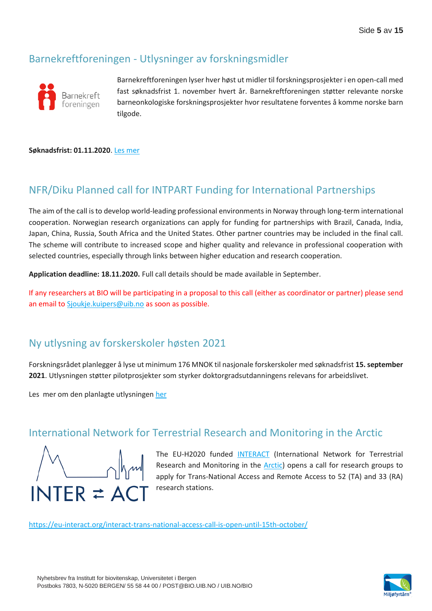## Barnekreftforeningen - Utlysninger av forskningsmidler



Barnekreftforeningen lyser hver høst ut midler til forskningsprosjekter i en open-call med fast søknadsfrist 1. november hvert år. Barnekreftforeningen støtter relevante norske barneonkologiske forskningsprosjekter hvor resultatene forventes å komme norske barn tilgode.

#### **Søknadsfrist: 01.11.2020**[. Les mer](https://www.barnekreftforeningen.no/forskning/sok)

### NFR/Diku Planned call for INTPART Funding for International Partnerships

The aim of the call is to develop world-leading professional environments in Norway through long-term international cooperation. Norwegian research organizations can apply for funding for partnerships with Brazil, Canada, India, Japan, China, Russia, South Africa and the United States. Other partner countries may be included in the final call. The scheme will contribute to increased scope and higher quality and relevance in professional cooperation with selected countries, especially through links between higher education and research cooperation.

**Application deadline: 18.11.2020.** Full call details should be made available in September.

If any researchers at BIO will be participating in a proposal to this call (either as coordinator or partner) please send an email to [Sjoukje.kuipers@uib.no](mailto:Sjoukje.kuipers@uib.no) as soon as possible.

### [Ny utlysning av forskerskoler høsten 2021](https://one-lnk.com/x1evlYwMGtwRmTaEHiPo6Xo88B1_xIz2J1nWsCeo_w7UMZMSMxGInxu6x-s0oq8AKdLpFbUVDY8QzAjmxU0cLJOHw/x1efqmsoFPgHkKLgMC-4IwYVnQffhCbwlujuOfv3cNbEEgyj0fib81NXT9kLlGhMwebf6T0c4Rm8_rN98saqCArr1kNvFrPKEZROeZhiw2PD29WXsl-GrKQMRZ1OINF7t45NzeT9Fn9bkjVQOWcoGlEJ6EdDfOC23M7LIBuSlNMZoYPccMMsXdBqGycouPSTD-EmFmIr9ArHyPDKlaVLodH_VFLQDUaAZZ1C8wnVX0Kyp0rONJX6qJFnrdcr4LlM4HyvRz1m7YGMLi2DHyavrIxkkatr4ew4OLK72Fe9sp9RbYPHUzQiBDe6j4fFaGVVDnW/x1eyApv-Ie7qCLJwadS3vfLr9gO0E3XtZHRW0KDFJrRdLPMMrg1BK8vgofGX8dsNXk1/)

Forskningsrådet planlegger å lyse ut minimum 176 MNOK til nasjonale forskerskoler med søknadsfrist **15. september 2021**. Utlysningen støtter pilotprosjekter som styrker doktorgradsutdanningens relevans for arbeidslivet.

Le[s mer om den planlagte utlysningen](https://one-lnk.com/x1evlYwMGtwRmTaEHiPo6Xo88B1_xIz2J1nWsCeo_w7UMZMSMxGInxu6x-s0oq8AKdLpFbUVDY8QzAjmxU0cLJOHw/x1efqmsoFPgHkKLgMC-4IwYVnQffhCbwlujuOfv3cNbEEgyj0fib81NXT9kLlGhMwebf6T0c4Rm8_rN98saqCArr1kNvFrPKEZROeZhiw2PD29WXsl-GrKQMRZ1OINF7t45NzeT9Fn9bkjVQOWcoGlEJ6EdDfOC23M7LIBuSlNMZoYPccMMsXdBqGycouPSTD-EmFmIr9ArHyPDKlaVLodH_VFLQDUaAZZ1C8wnVX0Kyp0rONJX6qJFnrdcr4LlM4HyvRz1m7YGMLi2DHyavrIxkkatr4ew4OLK72Fe9sp9RbYPHUzQiBDe6j4fFaGVVDnW/x1eyApv-Ie7qCLJwadS3vfLr9gO0E3XtZHRW0KDFJrRdLPMMrg1BK8vgofGX8dsNXk1/) [her](https://www.forskningsradet.no/utlysninger/2021/forskerskoler/?utm_campaign=08-09-2020&utm_content=test2&utm_medium=email&utm_source=apsis&utm_term=test1)

#### International Network for Terrestrial Research and Monitoring in the [Arctic](https://eu-interact.org/glossary/artic/)



The EU-H2020 funded [INTERACT](http://www.eu-interact.org/) (International Network for Terrestrial Research and Monitoring in the **Arctic**) opens a call for research groups to apply for Trans-National Access and Remote Access to 52 (TA) and 33 (RA) research stations.

<https://eu-interact.org/interact-trans-national-access-call-is-open-until-15th-october/>

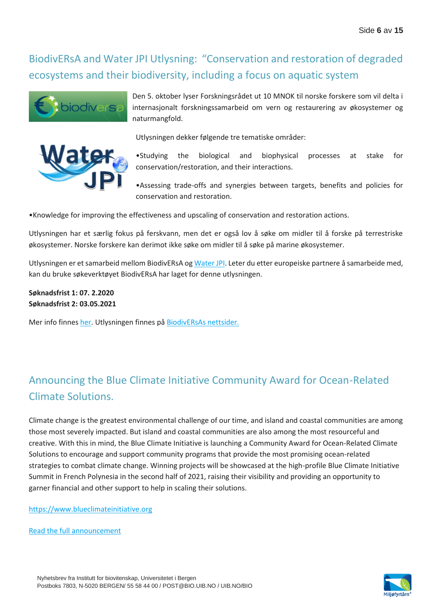## [BiodivERsA](https://www.biodiversa.org/undefined/) and [Water JPI](http://www.waterjpi.eu/) Utlysning: "Conservation and restoration of degraded ecosystems and their biodiversity, including a focus on aquatic system





Den 5. oktober lyser Forskningsrådet ut 10 MNOK til norske forskere som vil delta i internasjonalt forskningssamarbeid om vern og restaurering av økosystemer og naturmangfold.

Utlysningen dekker følgende tre tematiske områder:

•Studying the biological and biophysical processes at stake for conservation/restoration, and their interactions.

•Assessing trade-offs and synergies between targets, benefits and policies for conservation and restoration.

•Knowledge for improving the effectiveness and upscaling of conservation and restoration actions.

Utlysningen har et særlig fokus på ferskvann, men det er også lov å søke om midler til å forske på terrestriske økosystemer. Norske forskere kan derimot ikke søke om midler til å søke på marine økosystemer.

Utlysningen er et samarbeid mellom BiodivERsA o[g Water JPI.](http://www.waterjpi.eu/) Leter du etter europeiske partnere å samarbeide med, kan du bruke søkeverktøyet BiodivERsA har laget for denne utlysningen.

**Søknadsfrist 1: 07. 2.2020 Søknadsfrist 2: 03.05.2021** 

Mer info finne[s her.](https://www.forskningsradet.no/utlysninger/internasjonale-fellesutlysninger/conservation-and-restoration-of-degraded-ecosystems-and-their-biodiversity-including-a-focus-on-aquatic-systems/?utm_campaign=01-09-2020&utm_content=test2&utm_medium=email&utm_source=apsis&utm_term=test1) Utlysningen finnes p[å BiodivERsAs nettsider.](https://www.biodiversa.org/1773)

## Announcing the Blue Climate Initiative Community Award for Ocean-Related Climate Solutions.

Climate change is the greatest environmental challenge of our time, and island and coastal communities are among those most severely impacted. But island and coastal communities are also among the most resourceful and creative. With this in mind, the Blue Climate Initiative is launching a Community Award for Ocean-Related Climate Solutions to encourage and support community programs that provide the most promising ocean-related strategies to combat climate change. Winning projects will be showcased at the high-profile Blue Climate Initiative Summit in French Polynesia in the second half of 2021, raising their visibility and providing an opportunity to garner financial and other support to help in scaling their solutions.

[https://www.blueclimateinitiative.org](https://www.blueclimateinitiative.org/)

[Read the full announcement](http://vedlegg.uib.no/?id=93f8386493b164d401be65692e1383fc)

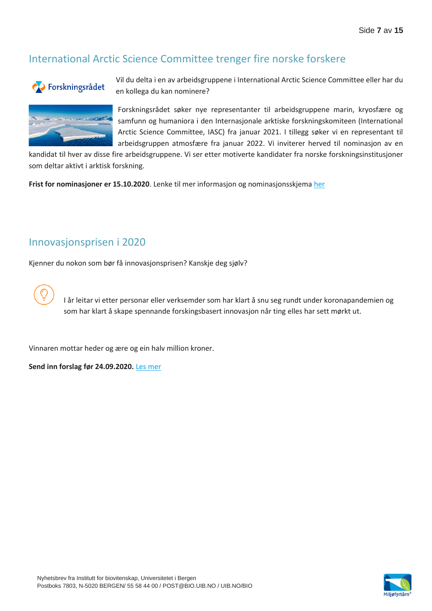## International Arctic Science Committee trenger fire norske forskere



Vil du delta i en av arbeidsgruppene i International Arctic Science Committee eller har du en kollega du kan nominere?



Forskningsrådet søker nye representanter til arbeidsgruppene marin, kryosfære og samfunn og humaniora i den Internasjonale arktiske forskningskomiteen (International Arctic Science Committee, IASC) fra januar 2021. I tillegg søker vi en representant til arbeidsgruppen atmosfære fra januar 2022. Vi inviterer herved til nominasjon av en

kandidat til hver av disse fire arbeidsgruppene. Vi ser etter motiverte kandidater fra norske forskningsinstitusjoner som deltar aktivt i arktisk forskning.

**Frist for nominasjoner er 15.10.2020**. Lenke til mer informasjon og nominasjonsskjem[a her](https://www.forskningsradet.no/nyheter/2020/international-arctic-science-committee-trenger-fire-norske-forskere/?utm_campaign=01-09-2020&utm_content=test2&utm_medium=email&utm_source=apsis&utm_term=test1)

### Innovasjonsprisen i 2020

Kjenner du nokon som bør få innovasjonsprisen? Kanskje deg sjølv?



I år leitar vi etter personar eller verksemder som har klart å snu seg rundt under koronapandemien og som har klart å skape spennande forskingsbasert innovasjon når ting elles har sett mørkt ut.

Vinnaren mottar heder og ære og ein halv million kroner.

**[Send inn forslag før 24.09.2020.](https://one-lnk.com/x1evlYwMGtwRmTaEHiPo6Xo86iMVddK1BHLKw0qS3FnZ8C2I5eQqdlucfcReDE7DwsO7s33qxHwAqKFHpzSTcS3uw/x1eXb3o-ITp4_aZa7A7y-2GQ5BOP2JRrjXCaL7nJQuu_NwLiFJiyXLFCK9K8bkmv0A61q0TdXbKLLr5mekGYtZN3kuouax40N8XzK0AZW3ox1usf1ki3_SroPktBUCDTaU8UfriOujQ9ekj-zmmcS-HjyNUGCzlCwTipTJ0kLSRc0olRR0siGlIr_W-GVW0Fsw7Ba37mnLvSHDtHoM7jDSAcMl3bwUxica3Vrz-xPtUQXxjbkHiR5saAEskaeRTbX92VtVsF-TBfCzADw_rzLqSyYp-d6bQUebMdpYLZozK2pJbUG2LXErgZh6Dc4oPYS1cAwTaTSYfBjqMIpGjKrwU2w/x1eyApv-Ie7qCLJwadS3vfLrzIbBtmXhwxO6Tnt-bgRPXvAvyI7F28_1s-mxEC4DUa-/)** [Les mer](https://www.forskningsradet.no/om-forskningsradet/prisutdelinger/innovasjonsprisen/?utm_campaign=03-09-2020&utm_content=test2&utm_medium=email&utm_source=apsis&utm_term=test1)

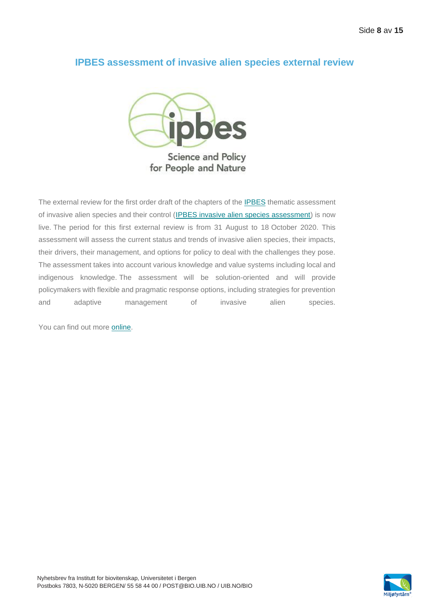### **IPBES assessment of invasive alien species external review**



The external review for the first order draft of the chapters of the **IPBES** thematic assessment of invasive alien species and their control [\(IPBES invasive alien species assessment\)](https://marineboard.us10.list-manage.com/track/click?u=2869e6448eb2a60f72bf9154c&id=4d0ed34636&e=6546a1f10a) is now live. The period for this first external review is from 31 August to 18 October 2020. This assessment will assess the current status and trends of invasive alien species, their impacts, their drivers, their management, and options for policy to deal with the challenges they pose. The assessment takes into account various knowledge and value systems including local and indigenous knowledge. The assessment will be solution-oriented and will provide policymakers with flexible and pragmatic response options, including strategies for prevention and adaptive management of invasive alien species.

You can find out more [online.](https://marineboard.us10.list-manage.com/track/click?u=2869e6448eb2a60f72bf9154c&id=ab4dae24df&e=6546a1f10a)

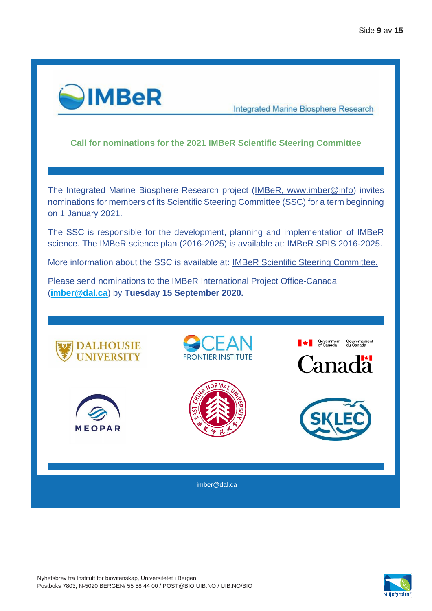

**Integrated Marine Biosphere Research** 

#### **Call for nominations for the 2021 IMBeR Scientific Steering Committee**

The Integrated Marine Biosphere Research project [\(IMBeR, www.imber@info\)](http://r20.rs6.net/tn.jsp?f=001ud-Mk_SrM6jgUsTKMVdlK2okaARzqKKbxPDvaVCJZdgGGC6MGW6n8RTGWFh4Lafion7OVDOMwMbdBzBgPdYFUkXGzYfvKyNfaDc5_EldRGYnOkGvRs7z3MGVxcJnflKz5W1pUdrU9HI=&c=rdeDaNBL_9XMhAdHqf59comrt5niJTI1iXTyv3L8b9EAIn1A7kiKgQ==&ch=H-ssGGRybGaAFajexGpCXkHATglYIqlK0u50Ydazwv23AYiFp3_6vg==) invites nominations for members of its Scientific Steering Committee (SSC) for a term beginning on 1 January 2021.

The SSC is responsible for the development, planning and implementation of IMBeR science. The IMBeR science plan (2016-2025) is available at: [IMBeR SPIS 2016-2025.](http://r20.rs6.net/tn.jsp?f=001ud-Mk_SrM6jgUsTKMVdlK2okaARzqKKbxPDvaVCJZdgGGC6MGW6n8RTGWFh4Lafi5g4jlGYj5l15P3tlCqoLragb74eLEL7hIEFN-JjokqChsrUy9haydTDKmVuzgiiT8y8KbPQZjhv_mbZzXuN7FldJUwbjR8c9_5fItr0Kg6ru1Bogz3CVx45DA9beM-en12jDKCD9gUv0ZMwGjKndbyj_vUwh8yEF&c=rdeDaNBL_9XMhAdHqf59comrt5niJTI1iXTyv3L8b9EAIn1A7kiKgQ==&ch=H-ssGGRybGaAFajexGpCXkHATglYIqlK0u50Ydazwv23AYiFp3_6vg==)

More information about the SSC is available at: [IMBeR Scientific Steering Committee.](http://r20.rs6.net/tn.jsp?f=001ud-Mk_SrM6jgUsTKMVdlK2okaARzqKKbxPDvaVCJZdgGGC6MGW6n8RTGWFh4Lafi-5iQSyRGA_n2jg7QevCkaKyd3xGk7UPZegrvO8HqD_Q97sjxdxk2ZxGwX9ex_WmbopK2jAHB-j7qYJn3E1O5TSdx0UcwIYZoZRMHrf2BQ8OegOkqEHvu-Q==&c=rdeDaNBL_9XMhAdHqf59comrt5niJTI1iXTyv3L8b9EAIn1A7kiKgQ==&ch=H-ssGGRybGaAFajexGpCXkHATglYIqlK0u50Ydazwv23AYiFp3_6vg==)

Please send nominations to the IMBeR International Project Office-Canada (**[imber@dal.ca](mailto:imber@dal.ca)**) by **Tuesday 15 September 2020.**



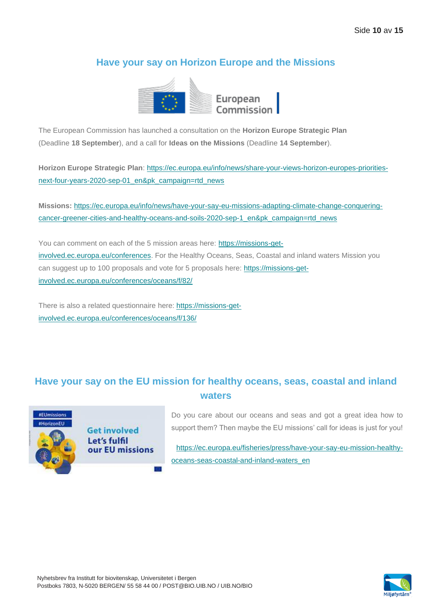### **Have your say on Horizon Europe and the Missions**



The European Commission has launched a consultation on the **Horizon Europe Strategic Plan** (Deadline **18 September**), and a call for **Ideas on the Missions** (Deadline **14 September**).

**Horizon Europe Strategic Plan**: [https://ec.europa.eu/info/news/share-your-views-horizon-europes-priorities](https://marineboard.us10.list-manage.com/track/click?u=2869e6448eb2a60f72bf9154c&id=3fb235e9c9&e=6546a1f10a)[next-four-years-2020-sep-01\\_en&pk\\_campaign=rtd\\_news](https://marineboard.us10.list-manage.com/track/click?u=2869e6448eb2a60f72bf9154c&id=3fb235e9c9&e=6546a1f10a)

**Missions:** [https://ec.europa.eu/info/news/have-your-say-eu-missions-adapting-climate-change-conquering](https://marineboard.us10.list-manage.com/track/click?u=2869e6448eb2a60f72bf9154c&id=8a36a7be59&e=6546a1f10a)[cancer-greener-cities-and-healthy-oceans-and-soils-2020-sep-1\\_en&pk\\_campaign=rtd\\_news](https://marineboard.us10.list-manage.com/track/click?u=2869e6448eb2a60f72bf9154c&id=8a36a7be59&e=6546a1f10a)

You can comment on each of the 5 mission areas here: [https://missions-get](https://marineboard.us10.list-manage.com/track/click?u=2869e6448eb2a60f72bf9154c&id=d213a67f0b&e=6546a1f10a)[involved.ec.europa.eu/conferences.](https://marineboard.us10.list-manage.com/track/click?u=2869e6448eb2a60f72bf9154c&id=d213a67f0b&e=6546a1f10a) For the Healthy Oceans, Seas, Coastal and inland waters Mission you can suggest up to 100 proposals and vote for 5 proposals here: [https://missions-get](https://marineboard.us10.list-manage.com/track/click?u=2869e6448eb2a60f72bf9154c&id=4808ca4644&e=6546a1f10a)[involved.ec.europa.eu/conferences/oceans/f/82/](https://marineboard.us10.list-manage.com/track/click?u=2869e6448eb2a60f72bf9154c&id=4808ca4644&e=6546a1f10a)

There is also a related questionnaire here: [https://missions-get](https://marineboard.us10.list-manage.com/track/click?u=2869e6448eb2a60f72bf9154c&id=36d36029af&e=6546a1f10a)[involved.ec.europa.eu/conferences/oceans/f/136/](https://marineboard.us10.list-manage.com/track/click?u=2869e6448eb2a60f72bf9154c&id=36d36029af&e=6546a1f10a)

### **Have your say on the EU mission for healthy oceans, seas, coastal and inland waters**



**Get involved** Let's fulfil our EU missions

Do you care about our oceans and seas and got a great idea how to support them? Then maybe the EU missions' call for ideas is just for you!

[https://ec.europa.eu/fisheries/press/have-your-say-eu-mission-healthy](https://ec.europa.eu/fisheries/press/have-your-say-eu-mission-healthy-oceans-seas-coastal-and-inland-waters_en)[oceans-seas-coastal-and-inland-waters\\_en](https://ec.europa.eu/fisheries/press/have-your-say-eu-mission-healthy-oceans-seas-coastal-and-inland-waters_en)

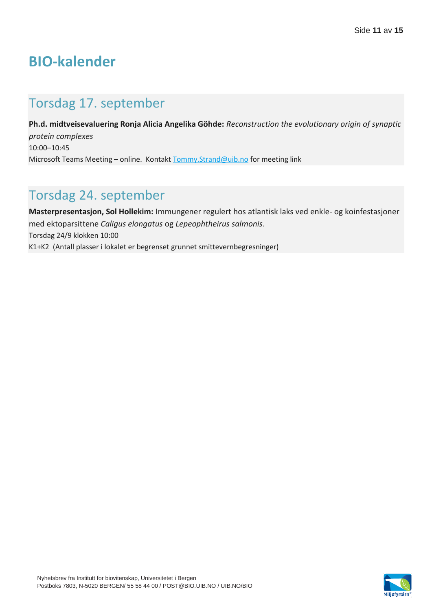# **BIO-kalender**

# Torsdag 17. september

**Ph.d. midtveisevaluering Ronja Alicia Angelika Göhde:** *Reconstruction the evolutionary origin of synaptic protein complexes*  10:00–10:45 Microsoft Teams Meeting – online. Kontakt [Tommy.Strand@uib.no](mailto:Tommy.Strand@uib.no) for meeting link

## Torsdag 24. september

**Masterpresentasjon, Sol Hollekim:** Immungener regulert hos atlantisk laks ved enkle- og koinfestasjoner med ektoparsittene *Caligus elongatus* og *Lepeophtheirus salmonis*. Torsdag 24/9 klokken 10:00 K1+K2 (Antall plasser i lokalet er begrenset grunnet smittevernbegresninger)

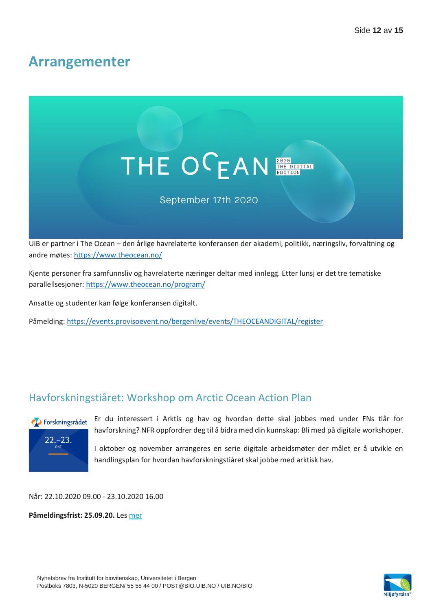## **Arrangementer**



UiB er partner i The Ocean – den årlige havrelaterte konferansen der akademi, politikk, næringsliv, forvaltning og andre møtes:<https://www.theocean.no/>

Kjente personer fra samfunnsliv og havrelaterte næringer deltar med innlegg. Etter lunsj er det tre tematiske parallellsesjoner[: https://www.theocean.no/program/](https://www.theocean.no/program/)

Ansatte og studenter kan følge konferansen digitalt.

Påmelding:<https://events.provisoevent.no/bergenlive/events/THEOCEANDIGITAL/register>

## Havforskningstiåret: Workshop om Arctic Ocean Action Plan



Er du interessert i Arktis og hav og hvordan dette skal jobbes med under FNs tiår for havforskning? NFR oppfordrer deg til å bidra med din kunnskap: Bli med på digitale workshoper.

I oktober og november arrangeres en serie digitale arbeidsmøter der målet er å utvikle en handlingsplan for hvordan havforskningstiåret skal jobbe med arktisk hav.

Når: 22.10.2020 09.00 - 23.10.2020 16.00

**Påmeldingsfrist: 25.09.20.** Le[s mer](https://www.forskningsradet.no/arrangementer/2020/havforskningstiaret-arctic-ocean-action-plan/?utm_campaign=01-09-2020&utm_content=test2&utm_medium=email&utm_source=apsis&utm_term=test1)

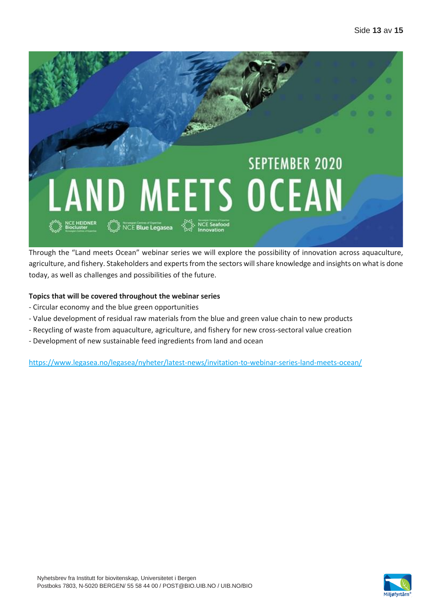

Through the "Land meets Ocean" webinar series we will explore the possibility of innovation across aquaculture, agriculture, and fishery. Stakeholders and experts from the sectors will share knowledge and insights on what is done today, as well as challenges and possibilities of the future.

#### **Topics that will be covered throughout the webinar series**

- Circular economy and the blue green opportunities
- Value development of residual raw materials from the blue and green value chain to new products
- Recycling of waste from aquaculture, agriculture, and fishery for new cross-sectoral value creation
- Development of new sustainable feed ingredients from land and ocean

<https://www.legasea.no/legasea/nyheter/latest-news/invitation-to-webinar-series-land-meets-ocean/>

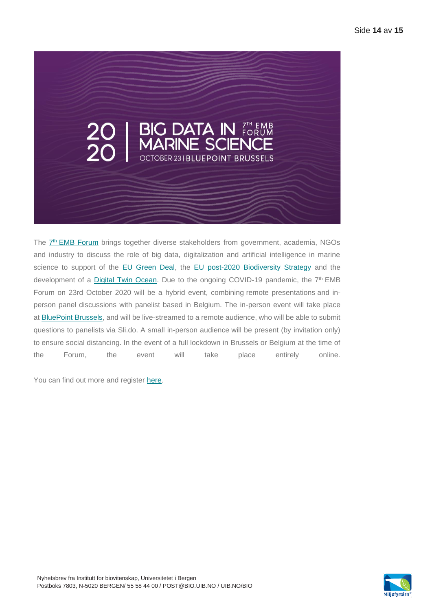

The  $\frac{7^{\text{th}}}{2^{\text{th}}}$  [EMB Forum](https://marineboard.us10.list-manage.com/track/click?u=2869e6448eb2a60f72bf9154c&id=331de53181&e=6546a1f10a) brings together diverse stakeholders from government, academia, NGOs and industry to discuss the role of big data, digitalization and artificial intelligence in marine science to support of the [EU Green Deal,](https://marineboard.us10.list-manage.com/track/click?u=2869e6448eb2a60f72bf9154c&id=83a4e56773&e=6546a1f10a) the [EU post-2020 Biodiversity Strategy](https://marineboard.us10.list-manage.com/track/click?u=2869e6448eb2a60f72bf9154c&id=6417ce55c6&e=6546a1f10a) and the development of a [Digital Twin Ocean.](https://marineboard.us10.list-manage.com/track/click?u=2869e6448eb2a60f72bf9154c&id=e483fb733a&e=6546a1f10a) Due to the ongoing COVID-19 pandemic, the 7<sup>th</sup> EMB Forum on 23rd October 2020 will be a hybrid event, combining remote presentations and inperson panel discussions with panelist based in Belgium. The in-person event will take place at [BluePoint](https://marineboard.us10.list-manage.com/track/click?u=2869e6448eb2a60f72bf9154c&id=e9bc2c05a8&e=6546a1f10a) Brussels, and will be live-streamed to a remote audience, who will be able to submit questions to panelists via Sli.do. A small in-person audience will be present (by invitation only) to ensure social distancing. In the event of a full lockdown in Brussels or Belgium at the time of the Forum, the event will take place entirely online.

You can find out more and register [here.](https://marineboard.us10.list-manage.com/track/click?u=2869e6448eb2a60f72bf9154c&id=6481289301&e=6546a1f10a)